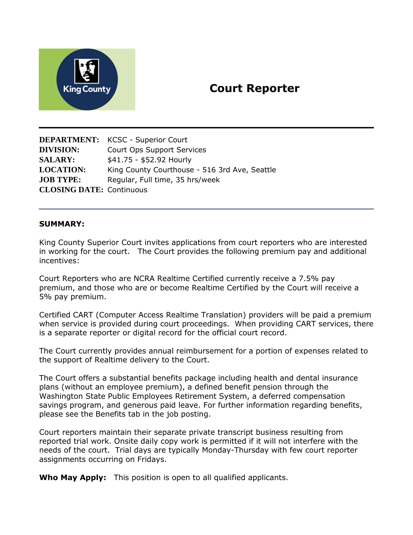

# **Court Reporter**

**DEPARTMENT:** KCSC - Superior Court **DIVISION:** Court Ops Support Services **SALARY:** \$41.75 - \$52.92 Hourly **LOCATION:** King County Courthouse - 516 3rd Ave, Seattle **JOB TYPE:** Regular, Full time, 35 hrs/week **CLOSING DATE:** Continuous

#### **SUMMARY:**

King County Superior Court invites applications from court reporters who are interested in working for the court. The Court provides the following premium pay and additional incentives:

Court Reporters who are NCRA Realtime Certified currently receive a 7.5% pay premium, and those who are or become Realtime Certified by the Court will receive a 5% pay premium.

Certified CART (Computer Access Realtime Translation) providers will be paid a premium when service is provided during court proceedings. When providing CART services, there is a separate reporter or digital record for the official court record.

The Court currently provides annual reimbursement for a portion of expenses related to the support of Realtime delivery to the Court.

The Court offers a substantial benefits package including health and dental insurance plans (without an employee premium), a defined benefit pension through the Washington State Public Employees Retirement System, a deferred compensation savings program, and generous paid leave. For further information regarding benefits, please see the Benefits tab in the job posting.

Court reporters maintain their separate private transcript business resulting from reported trial work. Onsite daily copy work is permitted if it will not interfere with the needs of the court. Trial days are typically Monday-Thursday with few court reporter assignments occurring on Fridays.

**Who May Apply:** This position is open to all qualified applicants.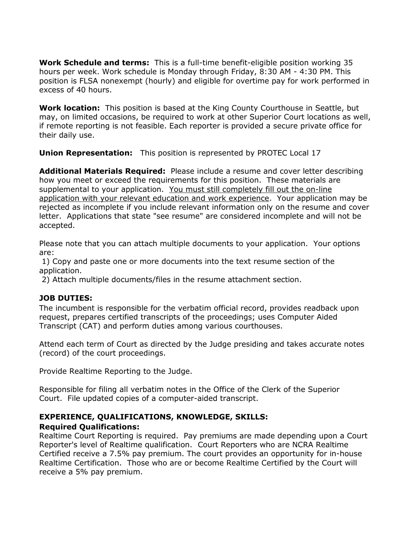**Work Schedule and terms:** This is a full-time benefit-eligible position working 35 hours per week. Work schedule is Monday through Friday, 8:30 AM - 4:30 PM. This position is FLSA nonexempt (hourly) and eligible for overtime pay for work performed in excess of 40 hours.

**Work location:** This position is based at the King County Courthouse in Seattle, but may, on limited occasions, be required to work at other Superior Court locations as well, if remote reporting is not feasible. Each reporter is provided a secure private office for their daily use.

**Union Representation:**This position is represented by PROTEC Local 17

**Additional Materials Required:** Please include a resume and cover letter describing how you meet or exceed the requirements for this position. These materials are supplemental to your application. You must still completely fill out the on-line application with your relevant education and work experience. Your application may be rejected as incomplete if you include relevant information only on the resume and cover letter. Applications that state "see resume" are considered incomplete and will not be accepted.

Please note that you can attach multiple documents to your application. Your options are:

1) Copy and paste one or more documents into the text resume section of the application.

2) Attach multiple documents/files in the resume attachment section.

### **JOB DUTIES:**

The incumbent is responsible for the verbatim official record, provides readback upon request, prepares certified transcripts of the proceedings; uses Computer Aided Transcript (CAT) and perform duties among various courthouses.

Attend each term of Court as directed by the Judge presiding and takes accurate notes (record) of the court proceedings.

Provide Realtime Reporting to the Judge.

Responsible for filing all verbatim notes in the Office of the Clerk of the Superior Court. File updated copies of a computer-aided transcript.

# **EXPERIENCE, QUALIFICATIONS, KNOWLEDGE, SKILLS:**

### **Required Qualifications:**

Realtime Court Reporting is required. Pay premiums are made depending upon a Court Reporter's level of Realtime qualification. Court Reporters who are NCRA Realtime Certified receive a 7.5% pay premium. The court provides an opportunity for in-house Realtime Certification. Those who are or become Realtime Certified by the Court will receive a 5% pay premium.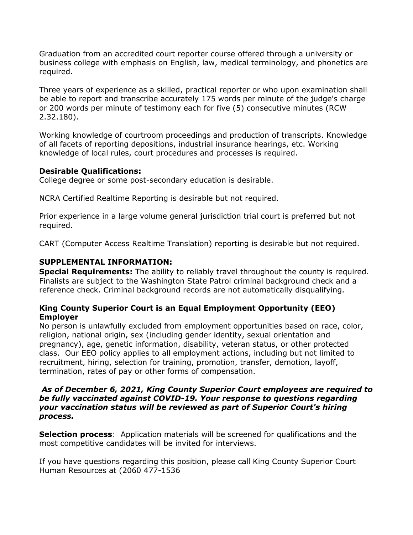Graduation from an accredited court reporter course offered through a university or business college with emphasis on English, law, medical terminology, and phonetics are required.

Three years of experience as a skilled, practical reporter or who upon examination shall be able to report and transcribe accurately 175 words per minute of the judge's charge or 200 words per minute of testimony each for five (5) consecutive minutes (RCW 2.32.180).

Working knowledge of courtroom proceedings and production of transcripts. Knowledge of all facets of reporting depositions, industrial insurance hearings, etc. Working knowledge of local rules, court procedures and processes is required.

### **Desirable Qualifications:**

College degree or some post-secondary education is desirable.

NCRA Certified Realtime Reporting is desirable but not required.

Prior experience in a large volume general jurisdiction trial court is preferred but not required.

CART (Computer Access Realtime Translation) reporting is desirable but not required.

## **SUPPLEMENTAL INFORMATION:**

**Special Requirements:** The ability to reliably travel throughout the county is required. Finalists are subject to the Washington State Patrol criminal background check and a reference check. Criminal background records are not automatically disqualifying.

### **King County Superior Court is an Equal Employment Opportunity (EEO) Employer**

No person is unlawfully excluded from employment opportunities based on race, color, religion, national origin, sex (including gender identity, sexual orientation and pregnancy), age, genetic information, disability, veteran status, or other protected class. Our EEO policy applies to all employment actions, including but not limited to recruitment, hiring, selection for training, promotion, transfer, demotion, layoff, termination, rates of pay or other forms of compensation.

#### *As of December 6, 2021, King County Superior Court employees are required to be fully vaccinated against COVID-19. Your response to questions regarding your vaccination status will be reviewed as part of Superior Court's hiring process.*

**Selection process:** Application materials will be screened for qualifications and the most competitive candidates will be invited for interviews.

If you have questions regarding this position, please call King County Superior Court Human Resources at (2060 477-1536